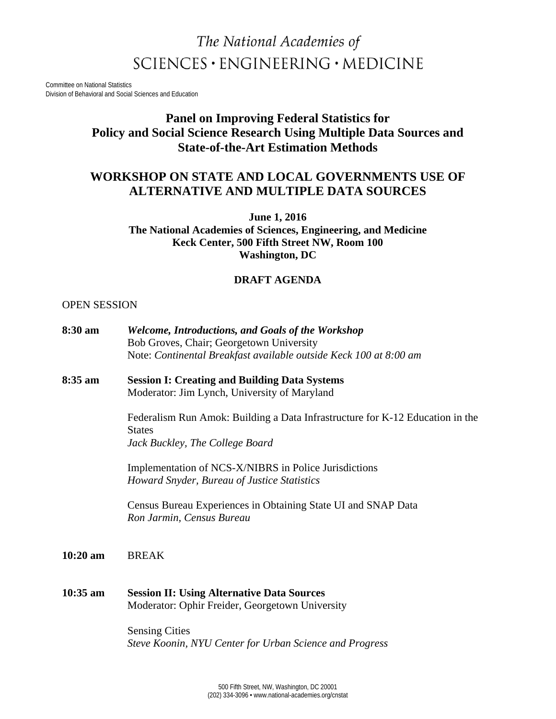# The National Academies of  $SCIENCES \cdot ENGINEERING \cdot MEDICINE$

Committee on National Statistics Division of Behavioral and Social Sciences and Education

## **Panel on Improving Federal Statistics for Policy and Social Science Research Using Multiple Data Sources and State-of-the-Art Estimation Methods**

## **WORKSHOP ON STATE AND LOCAL GOVERNMENTS USE OF ALTERNATIVE AND MULTIPLE DATA SOURCES**

**June 1, 2016 The National Academies of Sciences, Engineering, and Medicine Keck Center, 500 Fifth Street NW, Room 100 Washington, DC**

### **DRAFT AGENDA**

#### OPEN SESSION

| 8:30 am    | <b>Welcome, Introductions, and Goals of the Workshop</b><br>Bob Groves, Chair; Georgetown University<br>Note: Continental Breakfast available outside Keck 100 at 8:00 am |
|------------|---------------------------------------------------------------------------------------------------------------------------------------------------------------------------|
| 8:35 am    | <b>Session I: Creating and Building Data Systems</b><br>Moderator: Jim Lynch, University of Maryland                                                                      |
|            | Federalism Run Amok: Building a Data Infrastructure for K-12 Education in the<br><b>States</b><br>Jack Buckley, The College Board                                         |
|            | Implementation of NCS-X/NIBRS in Police Jurisdictions<br>Howard Snyder, Bureau of Justice Statistics                                                                      |
|            | Census Bureau Experiences in Obtaining State UI and SNAP Data<br>Ron Jarmin, Census Bureau                                                                                |
| $10:20$ am | <b>BREAK</b>                                                                                                                                                              |
| $10:35$ am | <b>Session II: Using Alternative Data Sources</b><br>Moderator: Ophir Freider, Georgetown University                                                                      |
|            | <b>Sensing Cities</b><br>Steve Koonin, NYU Center for Urban Science and Progress                                                                                          |